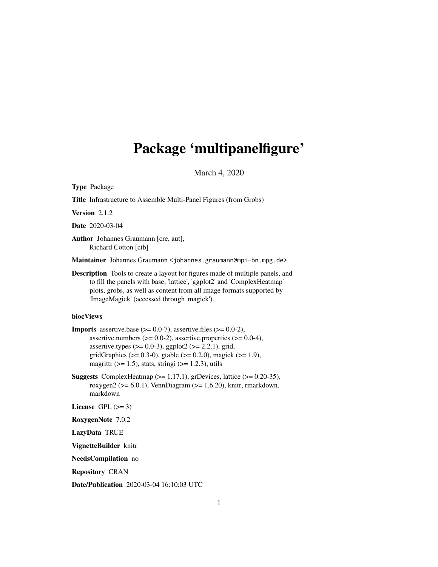## <span id="page-0-0"></span>Package 'multipanelfigure'

March 4, 2020

Type Package Title Infrastructure to Assemble Multi-Panel Figures (from Grobs) Version 2.1.2 Date 2020-03-04 Author Johannes Graumann [cre, aut], Richard Cotton [ctb] Maintainer Johannes Graumann <johannes.graumann@mpi-bn.mpg.de> Description Tools to create a layout for figures made of multiple panels, and to fill the panels with base, 'lattice', 'ggplot2' and 'ComplexHeatmap' plots, grobs, as well as content from all image formats supported by 'ImageMagick' (accessed through 'magick'). biocViews **Imports** assertive.base  $(>= 0.0-7)$ , assertive.files  $(>= 0.0-2)$ , assertive.numbers  $(>= 0.0-2)$ , assertive.properties  $(>= 0.0-4)$ , assertive.types ( $>= 0.0-3$ ), ggplot2 ( $>= 2.2.1$ ), grid, gridGraphics ( $> = 0.3-0$ ), gtable ( $> = 0.2.0$ ), magick ( $> = 1.9$ ),

**Suggests** ComplexHeatmap  $(>= 1.17.1)$ , grDevices, lattice  $(>= 0.20-35)$ , roxygen2 ( $>= 6.0.1$ ), VennDiagram ( $>= 1.6.20$ ), knitr, rmarkdown, markdown

magrittr  $(>= 1.5)$ , stats, stringi  $(>= 1.2.3)$ , utils

License GPL  $(>= 3)$ 

RoxygenNote 7.0.2

LazyData TRUE

VignetteBuilder knitr

NeedsCompilation no

Repository CRAN

Date/Publication 2020-03-04 16:10:03 UTC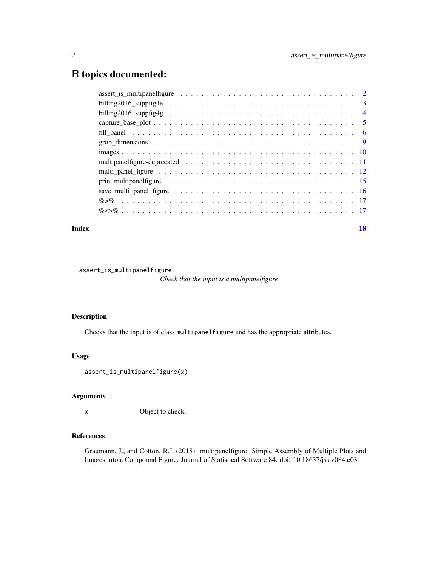## <span id="page-1-0"></span>R topics documented:

## **Index** 2008 **[18](#page-17-0)**

assert\_is\_multipanelfigure

*Check that the input is a multipanelfigure*

## Description

Checks that the input is of class multipanelfigure and has the appropriate attributes.

## Usage

assert\_is\_multipanelfigure(x)

#### Arguments

x Object to check.

## References

Graumann, J., and Cotton, R.J. (2018). multipanelfigure: Simple Assembly of Multiple Plots and Images into a Compound Figure. Journal of Statistical Software 84. doi: 10.18637/jss.v084.c03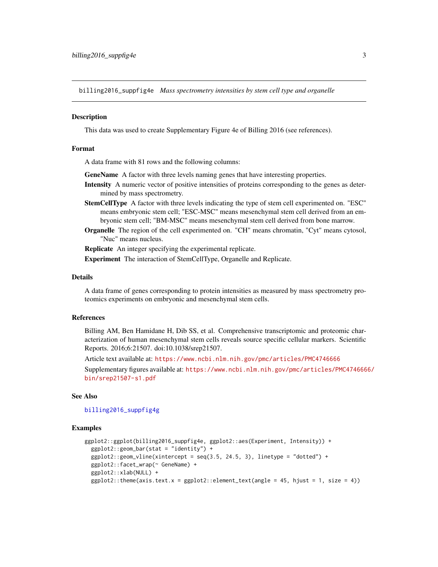<span id="page-2-1"></span><span id="page-2-0"></span>billing2016\_suppfig4e *Mass spectrometry intensities by stem cell type and organelle*

#### **Description**

This data was used to create Supplementary Figure 4e of Billing 2016 (see references).

#### Format

A data frame with 81 rows and the following columns:

- **GeneName** A factor with three levels naming genes that have interesting properties.
- Intensity A numeric vector of positive intensities of proteins corresponding to the genes as determined by mass spectrometry.
- StemCellType A factor with three levels indicating the type of stem cell experimented on. "ESC" means embryonic stem cell; "ESC-MSC" means mesenchymal stem cell derived from an embryonic stem cell; "BM-MSC" means mesenchymal stem cell derived from bone marrow.
- Organelle The region of the cell experimented on. "CH" means chromatin, "Cyt" means cytosol, "Nuc" means nucleus.

Replicate An integer specifying the experimental replicate.

Experiment The interaction of StemCellType, Organelle and Replicate.

#### Details

A data frame of genes corresponding to protein intensities as measured by mass spectrometry proteomics experiments on embryonic and mesenchymal stem cells.

#### References

Billing AM, Ben Hamidane H, Dib SS, et al. Comprehensive transcriptomic and proteomic characterization of human mesenchymal stem cells reveals source specific cellular markers. Scientific Reports. 2016;6:21507. doi:10.1038/srep21507.

Article text available at: <https://www.ncbi.nlm.nih.gov/pmc/articles/PMC4746666>

Supplementary figures available at: [https://www.ncbi.nlm.nih.gov/pmc/articles/PMC474666](https://www.ncbi.nlm.nih.gov/pmc/articles/PMC4746666/bin/srep21507-s1.pdf)6/ [bin/srep21507-s1.pdf](https://www.ncbi.nlm.nih.gov/pmc/articles/PMC4746666/bin/srep21507-s1.pdf)

#### See Also

[billing2016\\_suppfig4g](#page-3-1)

```
ggplot2::ggplot(billing2016_suppfig4e, ggplot2::aes(Experiment, Intensity)) +
 ggplot2::geom_bar(stat = "identity") +
 ggplot2::geom\_vline(xintercept = seq(3.5, 24.5, 3), linetype = "dotted") +ggplot2::facet_wrap(~ GeneName) +
 ggplot2::xlab(NULL) +
 ggplot2::them (axis.text.x = ggplot2::element_test(angle = 45, hjust = 1, size = 4))
```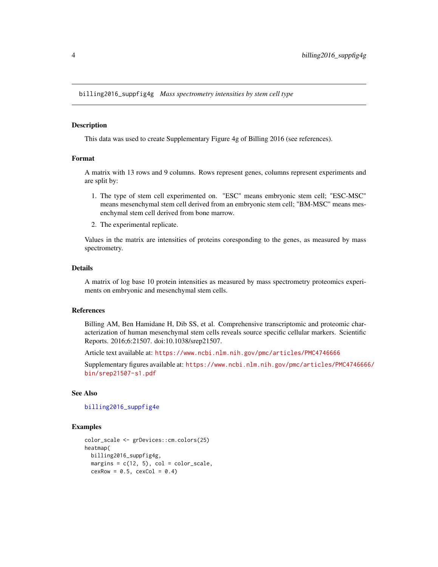<span id="page-3-1"></span><span id="page-3-0"></span>billing2016\_suppfig4g *Mass spectrometry intensities by stem cell type*

#### Description

This data was used to create Supplementary Figure 4g of Billing 2016 (see references).

#### Format

A matrix with 13 rows and 9 columns. Rows represent genes, columns represent experiments and are split by:

- 1. The type of stem cell experimented on. "ESC" means embryonic stem cell; "ESC-MSC" means mesenchymal stem cell derived from an embryonic stem cell; "BM-MSC" means mesenchymal stem cell derived from bone marrow.
- 2. The experimental replicate.

Values in the matrix are intensities of proteins coresponding to the genes, as measured by mass spectrometry.

#### Details

A matrix of log base 10 protein intensities as measured by mass spectrometry proteomics experiments on embryonic and mesenchymal stem cells.

#### References

Billing AM, Ben Hamidane H, Dib SS, et al. Comprehensive transcriptomic and proteomic characterization of human mesenchymal stem cells reveals source specific cellular markers. Scientific Reports. 2016;6:21507. doi:10.1038/srep21507.

Article text available at: <https://www.ncbi.nlm.nih.gov/pmc/articles/PMC4746666>

Supplementary figures available at: [https://www.ncbi.nlm.nih.gov/pmc/articles/PMC474666](https://www.ncbi.nlm.nih.gov/pmc/articles/PMC4746666/bin/srep21507-s1.pdf)6/ [bin/srep21507-s1.pdf](https://www.ncbi.nlm.nih.gov/pmc/articles/PMC4746666/bin/srep21507-s1.pdf)

#### See Also

[billing2016\\_suppfig4e](#page-2-1)

```
color_scale <- grDevices::cm.colors(25)
heatmap(
 billing2016_suppfig4g,
 margins = c(12, 5), col = color\_scale,
 cexRow = 0.5, cexCol = 0.4)
```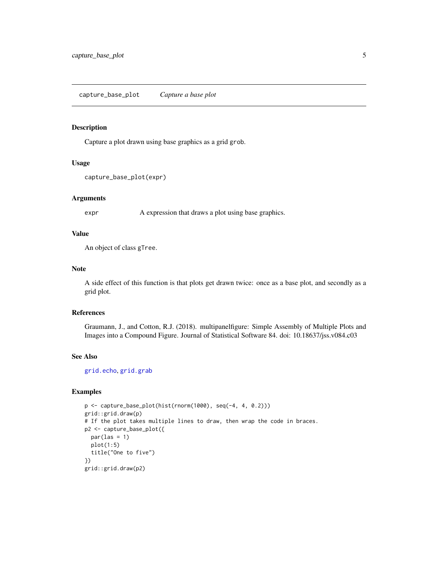#### <span id="page-4-1"></span><span id="page-4-0"></span>Description

Capture a plot drawn using base graphics as a grid grob.

### Usage

```
capture_base_plot(expr)
```
#### Arguments

expr A expression that draws a plot using base graphics.

## Value

An object of class gTree.

#### Note

A side effect of this function is that plots get drawn twice: once as a base plot, and secondly as a grid plot.

## References

Graumann, J., and Cotton, R.J. (2018). multipanelfigure: Simple Assembly of Multiple Plots and Images into a Compound Figure. Journal of Statistical Software 84. doi: 10.18637/jss.v084.c03

#### See Also

[grid.echo](#page-0-0), [grid.grab](#page-0-0)

```
p <- capture_base_plot(hist(rnorm(1000), seq(-4, 4, 0.2)))
grid::grid.draw(p)
# If the plot takes multiple lines to draw, then wrap the code in braces.
p2 <- capture_base_plot({
  par(las = 1)
  plot(1:5)
  title("One to five")
})
grid::grid.draw(p2)
```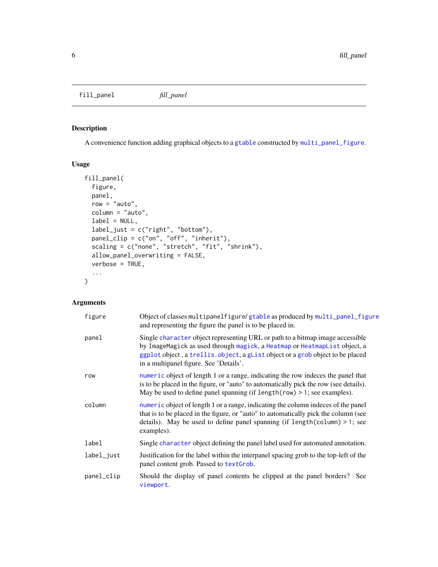<span id="page-5-1"></span><span id="page-5-0"></span>fill\_panel *fill\_panel*

## Description

A convenience function adding graphical objects to a [gtable](#page-0-0) constructed by [multi\\_panel\\_figure](#page-11-1).

#### Usage

```
fill_panel(
  figure,
 panel,
 row = "auto",
  column = "auto",
  label = NULL,label_just = c("right", "bottom"),
  panel_clip = c("on", "off", "inherit"),
  scaling = c("none", "stretch", "fit", "shrink"),
  allow_panel_overwriting = FALSE,
  verbose = TRUE,
  ...
)
```
## Arguments

| figure     | Object of classes multipanelfigure/gtable as produced by multi_panel_figure<br>and representing the figure the panel is to be placed in.                                                                                                                                               |
|------------|----------------------------------------------------------------------------------------------------------------------------------------------------------------------------------------------------------------------------------------------------------------------------------------|
| panel      | Single character object representing URL or path to a bitmap image accessible<br>by ImageMagick as used through magick, a Heatmap or HeatmapList object, a<br>ggplot object, a trellis. object, a glist object or a grob object to be placed<br>in a multipanel figure. See 'Details'. |
| row        | numeric object of length 1 or a range, indicating the row indeces the panel that<br>is to be placed in the figure, or "auto" to automatically pick the row (see details).<br>May be used to define panel spanning (if $length(row) > 1$ ; see examples).                               |
| column     | numeric object of length 1 or a range, indicating the column indeces of the panel<br>that is to be placed in the figure, or "auto" to automatically pick the column (see<br>details). May be used to define panel spanning (if $length(column) > 1$ ; see<br>examples).                |
| label      | Single character object defining the panel label used for automated annotation.                                                                                                                                                                                                        |
| label_just | Justification for the label within the interpanel spacing grob to the top-left of the<br>panel content grob. Passed to textGrob.                                                                                                                                                       |
| panel_clip | Should the display of panel contents be clipped at the panel borders? See<br>viewport.                                                                                                                                                                                                 |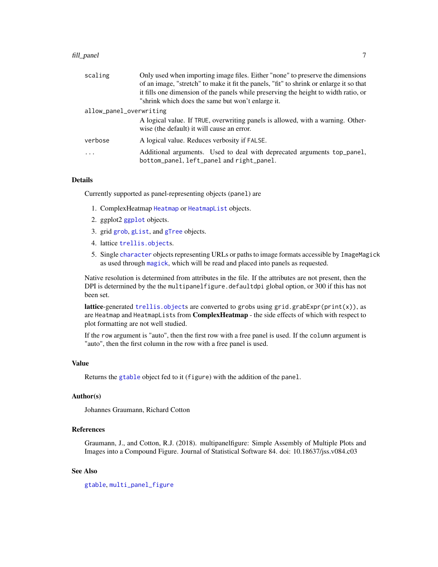#### <span id="page-6-0"></span>fill\_panel 7

| "shrink which does the same but won't enlarge it.<br>allow_panel_overwriting<br>wise (the default) it will cause an error.<br>A logical value. Reduces verbosity if FALSE.<br>verbose<br>$\cdot$<br>bottom_panel, left_panel and right_panel. | scaling | Only used when importing image files. Either "none" to preserve the dimensions          |
|-----------------------------------------------------------------------------------------------------------------------------------------------------------------------------------------------------------------------------------------------|---------|-----------------------------------------------------------------------------------------|
|                                                                                                                                                                                                                                               |         | of an image, "stretch" to make it fit the panels, "fit" to shrink or enlarge it so that |
|                                                                                                                                                                                                                                               |         | it fills one dimension of the panels while preserving the height to width ratio, or     |
|                                                                                                                                                                                                                                               |         |                                                                                         |
|                                                                                                                                                                                                                                               |         |                                                                                         |
|                                                                                                                                                                                                                                               |         | A logical value. If TRUE, overwriting panels is allowed, with a warning. Other-         |
|                                                                                                                                                                                                                                               |         |                                                                                         |
|                                                                                                                                                                                                                                               |         | Additional arguments. Used to deal with deprecated arguments top_panel,                 |

#### Details

Currently supported as panel-representing objects (panel) are

- 1. ComplexHeatmap [Heatmap](#page-0-0) or [HeatmapList](#page-0-0) objects.
- 2. [ggplot](#page-0-0)2 ggplot objects.
- 3. grid [grob](#page-0-0), [gList](#page-0-0), and [gTree](#page-0-0) objects.
- 4. lattice [trellis.object](#page-0-0)s.
- 5. Single [character](#page-0-0) objects representing URLs or paths to image formats accessible by ImageMagick as used through [magick](#page-0-0), which will be read and placed into panels as requested.

Native resolution is determined from attributes in the file. If the attributes are not present, then the DPI is determined by the the multipanelfigure.defaultdpi global option, or 300 if this has not been set.

lattice-generated [trellis.object](#page-0-0)s are converted to grobs using grid.grabExpr( $print(x)$ ), as are Heatmap and HeatmapLists from **ComplexHeatmap** - the side effects of which with respect to plot formatting are not well studied.

If the row argument is "auto", then the first row with a free panel is used. If the column argument is "auto", then the first column in the row with a free panel is used.

## Value

Returns the [gtable](#page-0-0) object fed to it (figure) with the addition of the panel.

## Author(s)

Johannes Graumann, Richard Cotton

## References

Graumann, J., and Cotton, R.J. (2018). multipanelfigure: Simple Assembly of Multiple Plots and Images into a Compound Figure. Journal of Statistical Software 84. doi: 10.18637/jss.v084.c03

## See Also

[gtable](#page-0-0), [multi\\_panel\\_figure](#page-11-1)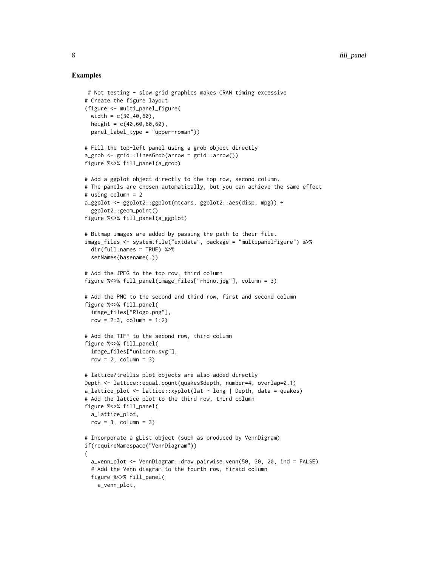```
# Not testing - slow grid graphics makes CRAN timing excessive
# Create the figure layout
(figure <- multi_panel_figure(
 width = c(30, 40, 60),
 height = c(40, 60, 60, 60),
 panel_label_type = "upper-roman"))
# Fill the top-left panel using a grob object directly
a_grob \leq grid::linesGrob(arrow = grid::arrow())
figure %<>% fill_panel(a_grob)
# Add a ggplot object directly to the top row, second column.
# The panels are chosen automatically, but you can achieve the same effect
# using column = 2
a_ggplot <- ggplot2::ggplot(mtcars, ggplot2::aes(disp, mpg)) +
 ggplot2::geom_point()
figure %<>% fill_panel(a_ggplot)
# Bitmap images are added by passing the path to their file.
image_files <- system.file("extdata", package = "multipanelfigure") %>%
 dir(full.names = TRUE) %>%
 setNames(basename(.))
# Add the JPEG to the top row, third column
figure %<>% fill_panel(image_files["rhino.jpg"], column = 3)
# Add the PNG to the second and third row, first and second column
figure %<>% fill_panel(
 image_files["Rlogo.png"],
 row = 2:3, column = 1:2)
# Add the TIFF to the second row, third column
figure %<>% fill_panel(
 image_files["unicorn.svg"],
 row = 2, column = 3)
# lattice/trellis plot objects are also added directly
Depth <- lattice::equal.count(quakes$depth, number=4, overlap=0.1)
a<sup>1</sup> a_lattice_plot <- lattice::xyplot(lat \sim long | Depth, data = quakes)
# Add the lattice plot to the third row, third column
figure %<>% fill_panel(
 a_lattice_plot,
 row = 3, column = 3)
# Incorporate a gList object (such as produced by VennDigram)
if(requireNamespace("VennDiagram"))
{
 a_venn_plot <- VennDiagram::draw.pairwise.venn(50, 30, 20, ind = FALSE)
 # Add the Venn diagram to the fourth row, firstd column
 figure %<>% fill_panel(
   a_venn_plot,
```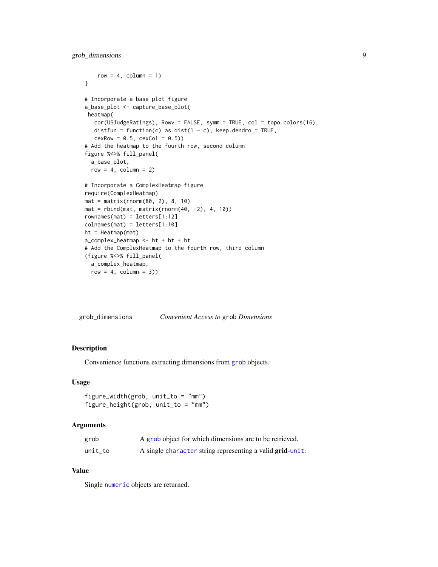```
row = 4, column = 1)
}
# Incorporate a base plot figure
a_base_plot <- capture_base_plot(
heatmap(
   cor(USJudgeRatings), Rowv = FALSE, symm = TRUE, col = topo.colors(16),
   distfun = function(c) as.dist(1 - c), keep.dendro = TRUE,
   cexRow = 0.5, cexCol = 0.5)# Add the heatmap to the fourth row, second column
figure %<>% fill_panel(
  a_base_plot,
  row = 4, column = 2)
# Incorporate a ComplexHeatmap figure
require(ComplexHeatmap)
mat = matrix(rnorm(80, 2), 8, 10)
mat = rbind(mat, matrix(rnorm(40, -2), 4, 10))
rownames(mat) = letters[1:12]
colnames(mat) = letters[1:10]
ht = Heatmap(mat)
a_complex_heatmap <- ht + ht + ht
# Add the ComplexHeatmap to the fourth row, third column
(figure %<>% fill_panel(
  a_complex_heatmap,
  row = 4, column = 3)
```
grob\_dimensions *Convenient Access to* grob *Dimensions*

## <span id="page-8-1"></span>Description

Convenience functions extracting dimensions from [grob](#page-0-0) objects.

## Usage

```
figure_width(grob, unit_to = "mm")
figure_height(grob, unit_to = "mm")
```
## Arguments

| grob    | A grob object for which dimensions are to be retrieved.   |
|---------|-----------------------------------------------------------|
| unit to | A single character string representing a valid grid-unit. |

#### Value

Single [numeric](#page-0-0) objects are returned.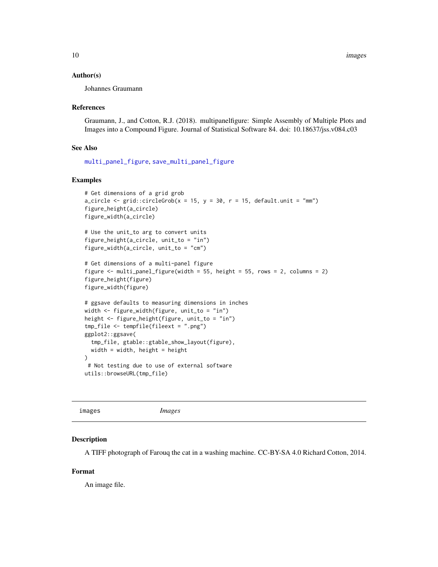#### <span id="page-9-0"></span>Author(s)

Johannes Graumann

#### References

Graumann, J., and Cotton, R.J. (2018). multipanelfigure: Simple Assembly of Multiple Plots and Images into a Compound Figure. Journal of Statistical Software 84. doi: 10.18637/jss.v084.c03

#### See Also

[multi\\_panel\\_figure](#page-11-1), [save\\_multi\\_panel\\_figure](#page-15-1)

## Examples

```
# Get dimensions of a grid grob
a_circle \le grid::circleGrob(x = 15, y = 30, r = 15, default.unit = "mm")
figure_height(a_circle)
figure_width(a_circle)
# Use the unit_to arg to convert units
figure_height(a_circle, unit_to = "in")
figure_width(a_circle, unit_to = "cm")
# Get dimensions of a multi-panel figure
figure <- multi_panel_figure(width = 55, height = 55, rows = 2, columns = 2)
figure_height(figure)
figure_width(figure)
# ggsave defaults to measuring dimensions in inches
width <- figure_width(figure, unit_to = "in")
height <- figure_height(figure, unit_to = "in")
tmp_file <- tempfile(fileext = ".png")
ggplot2::ggsave(
 tmp_file, gtable::gtable_show_layout(figure),
 width = width, height = height
\lambda# Not testing due to use of external software
utils::browseURL(tmp_file)
```
images *Images*

#### Description

A TIFF photograph of Farouq the cat in a washing machine. CC-BY-SA 4.0 Richard Cotton, 2014.

## Format

An image file.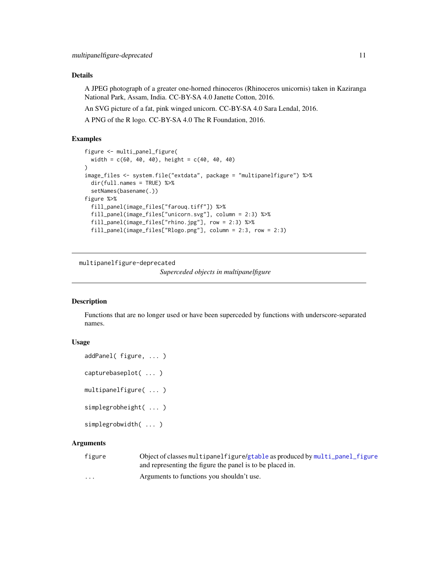## <span id="page-10-0"></span>Details

A JPEG photograph of a greater one-horned rhinoceros (Rhinoceros unicornis) taken in Kaziranga National Park, Assam, India. CC-BY-SA 4.0 Janette Cotton, 2016.

An SVG picture of a fat, pink winged unicorn. CC-BY-SA 4.0 Sara Lendal, 2016.

A PNG of the R logo. CC-BY-SA 4.0 The R Foundation, 2016.

## Examples

```
figure <- multi_panel_figure(
  width = c(60, 40, 40), height = c(40, 40, 40))
image_files <- system.file("extdata", package = "multipanelfigure") %>%
  dir(full.names = TRUE) %>%
  setNames(basename(.))
figure %>%
  fill_panel(image_files["farouq.tiff"]) %>%
  fill_panel(image_files["unicorn.svg"], column = 2:3) %>%
  fill_panel(image_files["rhino.jpg"], row = 2:3) %>%
  fill_panel(image_files["Rlogo.png"], column = 2:3, row = 2:3)
```
multipanelfigure-deprecated

*Superceded objects in multipanelfigure*

#### Description

Functions that are no longer used or have been superceded by functions with underscore-separated names.

#### Usage

```
addPanel( figure, ... )
capturebaseplot( ... )
multipanelfigure( ... )
simplegrobheight( ... )
simplegrobwidth( ... )
```
## Arguments

| figure | Object of classes multipanelfigure/gtable as produced by multi_panel_figure |
|--------|-----------------------------------------------------------------------------|
|        | and representing the figure the panel is to be placed in.                   |
|        |                                                                             |

... Arguments to functions you shouldn't use.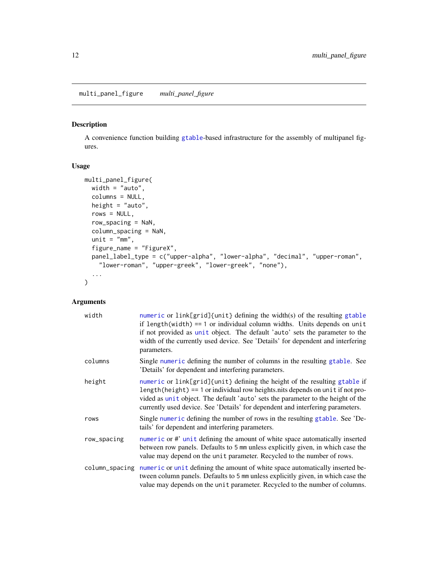#### <span id="page-11-1"></span><span id="page-11-0"></span>Description

A convenience function building [gtable](#page-0-0)-based infrastructure for the assembly of multipanel figures.

## Usage

```
multi_panel_figure(
 width = "auto",
 columns = NULL,
 height = "auto",rows = NULL,row_spacing = NaN,
  column_spacing = NaN,
  unit = "mm",figure_name = "FigureX",
 panel_label_type = c("upper-alpha", "lower-alpha", "decimal", "upper-roman",
    "lower-roman", "upper-greek", "lower-greek", "none"),
  ...
\mathcal{L}
```
## Arguments

| width       | numeric or link[grid]{unit} defining the width(s) of the resulting gtable<br>if length (width) == 1 or individual column widths. Units depends on unit<br>if not provided as unit object. The default 'auto' sets the parameter to the<br>width of the currently used device. See 'Details' for dependent and interfering<br>parameters. |
|-------------|------------------------------------------------------------------------------------------------------------------------------------------------------------------------------------------------------------------------------------------------------------------------------------------------------------------------------------------|
| columns     | Single numeric defining the number of columns in the resulting gtable. See<br>'Details' for dependent and interfering parameters.                                                                                                                                                                                                        |
| height      | numeric or link[grid]{unit} defining the height of the resulting gtable if<br>length (height) == 1 or individual row heights nits depends on unit if not pro-<br>vided as unit object. The default 'auto' sets the parameter to the height of the<br>currently used device. See 'Details' for dependent and interfering parameters.      |
| rows        | Single numeric defining the number of rows in the resulting gtable. See 'De-<br>tails' for dependent and interfering parameters.                                                                                                                                                                                                         |
| row_spacing | numeric or #' unit defining the amount of white space automatically inserted<br>between row panels. Defaults to 5 mm unless explicitly given, in which case the<br>value may depend on the unit parameter. Recycled to the number of rows.                                                                                               |
|             | column_spacing numeric or unit defining the amount of white space automatically inserted be-<br>tween column panels. Defaults to 5 mm unless explicitly given, in which case the<br>value may depends on the unit parameter. Recycled to the number of columns.                                                                          |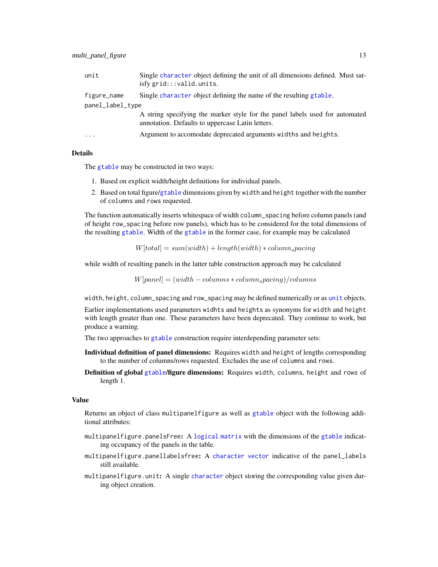<span id="page-12-0"></span>

| unit                    | Single character object defining the unit of all dimensions defined. Must sat-<br>isfy grid:::valid.units.                       |
|-------------------------|----------------------------------------------------------------------------------------------------------------------------------|
| figure_name             | Single character object defining the name of the resulting gtable.                                                               |
| panel_label_type        |                                                                                                                                  |
|                         | A string specifying the marker style for the panel labels used for automated<br>annotation. Defaults to uppercase Latin letters. |
| $\cdot$ $\cdot$ $\cdot$ | Argument to accomodate deprecated arguments widths and heights.                                                                  |

## Details

The [gtable](#page-0-0) may be constructed in two ways:

- 1. Based on explicit width/height definitions for individual panels.
- 2. Based on total figure/[gtable](#page-0-0) dimensions given by width and height together with the number of columns and rows requested.

The function automatically inserts whitespace of width column\_spacing before column panels (and of height row\_spacing before row panels), which has to be considered for the total dimensions of the resulting [gtable](#page-0-0). Width of the [gtable](#page-0-0) in the former case, for example may be calculated

$$
W[total] = sum(width) + length(width) * columns packing
$$

while width of resulting panels in the latter table construction approach may be calculated

 $W[panel] = (width - columns * column_s packing) / columns$ 

width, height, column\_spacing and row\_spacing may be defined numerically or as [unit](#page-0-0) objects.

Earlier implementations used parameters widhts and heights as synonyms for width and height with length greater than one. These parameters have been deprecated. They continue to work, but produce a warning.

The two approaches to [gtable](#page-0-0) construction require interdepending parameter sets:

- Individual definition of panel dimensions: Requires width and height of lengths corresponding to the number of columns/rows requested. Excludes the use of columns and rows.
- Definition of global [gtable](#page-0-0)/figure dimensions: Requires width, columns, height and rows of length 1.

#### Value

Returns an object of class multipanelfigure as well as [gtable](#page-0-0) object with the following additional attributes:

- multipanelfigure.panelsFree: A [logical](#page-0-0) [matrix](#page-0-0) with the dimensions of the [gtable](#page-0-0) indicating occupancy of the panels in the table.
- multipanelfigure.panellabelsfree: A [character](#page-0-0) [vector](#page-0-0) indicative of the panel\_labels still available.
- multipanelfigure.unit: A single [character](#page-0-0) object storing the corresponding value given during object creation.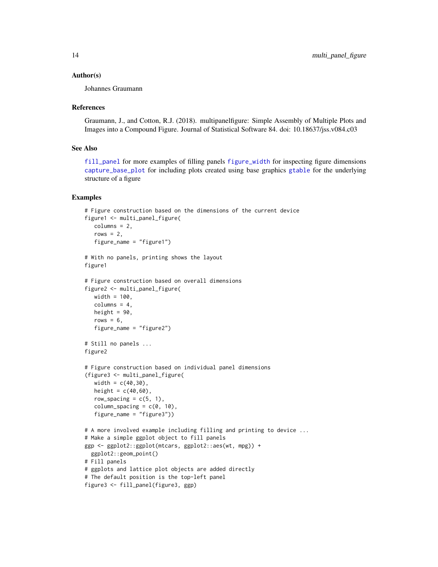#### <span id="page-13-0"></span>Author(s)

Johannes Graumann

#### References

Graumann, J., and Cotton, R.J. (2018). multipanelfigure: Simple Assembly of Multiple Plots and Images into a Compound Figure. Journal of Statistical Software 84. doi: 10.18637/jss.v084.c03

#### See Also

[fill\\_panel](#page-5-1) for more examples of filling panels [figure\\_width](#page-8-1) for inspecting figure dimensions [capture\\_base\\_plot](#page-4-1) for including plots created using base graphics [gtable](#page-0-0) for the underlying structure of a figure

```
# Figure construction based on the dimensions of the current device
figure1 <- multi_panel_figure(
  column = 2,rows = 2,
  figure_name = "figure1")
# With no panels, printing shows the layout
figure1
# Figure construction based on overall dimensions
figure2 <- multi_panel_figure(
  width = 100,
  columns = 4,
  height = 90,
  rows = 6,
  figure_name = "figure2")
# Still no panels ...
figure2
# Figure construction based on individual panel dimensions
(figure3 <- multi_panel_figure(
  width = c(40, 30),height = c(40, 60),
  row_spacing = c(5, 1),
  column_sparing = c(0, 10),
  figure_name = "figure3"))
# A more involved example including filling and printing to device ...
# Make a simple ggplot object to fill panels
ggp <- ggplot2::ggplot(mtcars, ggplot2::aes(wt, mpg)) +
 ggplot2::geom_point()
# Fill panels
# ggplots and lattice plot objects are added directly
# The default position is the top-left panel
figure3 <- fill_panel(figure3, ggp)
```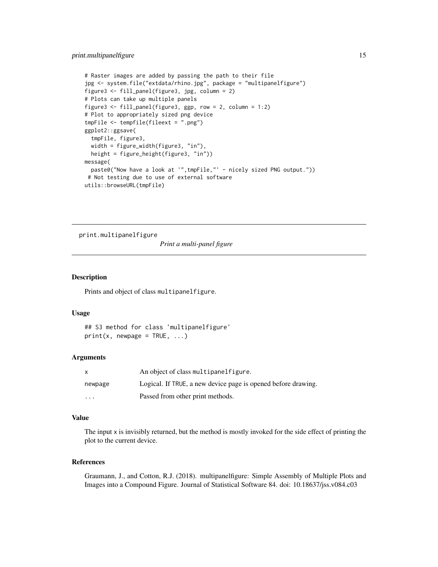```
# Raster images are added by passing the path to their file
jpg <- system.file("extdata/rhino.jpg", package = "multipanelfigure")
figure3 <- fill_panel(figure3, jpg, column = 2)
# Plots can take up multiple panels
figure3 <- fill_panel(figure3, ggp, row = 2, column = 1:2)
# Plot to appropriately sized png device
tmpFile <- tempfile(fileext = ".png")
ggplot2::ggsave(
 tmpFile, figure3,
 width = figure_width(figure3, "in"),
 height = figure_height(figure3, "in"))
message(
 paste0("Now have a look at '",tmpFile,"' - nicely sized PNG output."))
# Not testing due to use of external software
utils::browseURL(tmpFile)
```
print.multipanelfigure

*Print a multi-panel figure*

#### Description

Prints and object of class multipanelfigure.

#### Usage

```
## S3 method for class 'multipanelfigure'
print(x, newpage = TRUE, ...)
```
#### Arguments

| $\mathsf{x}$            | An object of class multipanel figure.                         |
|-------------------------|---------------------------------------------------------------|
| newpage                 | Logical. If TRUE, a new device page is opened before drawing. |
| $\cdot$ $\cdot$ $\cdot$ | Passed from other print methods.                              |

#### Value

The input x is invisibly returned, but the method is mostly invoked for the side effect of printing the plot to the current device.

#### References

Graumann, J., and Cotton, R.J. (2018). multipanelfigure: Simple Assembly of Multiple Plots and Images into a Compound Figure. Journal of Statistical Software 84. doi: 10.18637/jss.v084.c03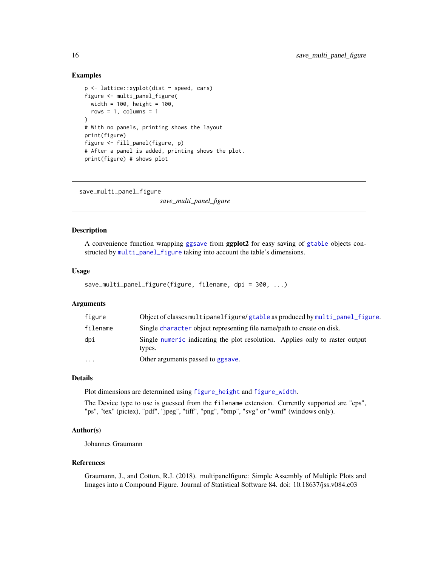## Examples

```
p <- lattice::xyplot(dist ~ speed, cars)
figure <- multi_panel_figure(
  width = 100, height = 100,
  rows = 1, columns = 1\lambda# With no panels, printing shows the layout
print(figure)
figure <- fill_panel(figure, p)
# After a panel is added, printing shows the plot.
print(figure) # shows plot
```
<span id="page-15-1"></span>save\_multi\_panel\_figure

*save\_multi\_panel\_figure*

#### Description

A convenience function wrapping [ggsave](#page-0-0) from ggplot2 for easy saving of [gtable](#page-0-0) objects constructed by [multi\\_panel\\_figure](#page-11-1) taking into account the table's dimensions.

## Usage

```
save_multi_panel_figure(figure, filename, dpi = 300, ...)
```
#### Arguments

| figure   | Object of classes multipanel figure/gtable as produced by multi_panel_figure.          |
|----------|----------------------------------------------------------------------------------------|
| filename | Single character object representing file name/path to create on disk.                 |
| dpi      | Single numeric indicating the plot resolution. Applies only to raster output<br>types. |
| $\cdots$ | Other arguments passed to ggsave.                                                      |

## Details

Plot dimensions are determined using [figure\\_height](#page-8-1) and [figure\\_width](#page-8-1).

The Device type to use is guessed from the filename extension. Currently supported are "eps", "ps", "tex" (pictex), "pdf", "jpeg", "tiff", "png", "bmp", "svg" or "wmf" (windows only).

#### Author(s)

Johannes Graumann

#### References

Graumann, J., and Cotton, R.J. (2018). multipanelfigure: Simple Assembly of Multiple Plots and Images into a Compound Figure. Journal of Statistical Software 84. doi: 10.18637/jss.v084.c03

<span id="page-15-0"></span>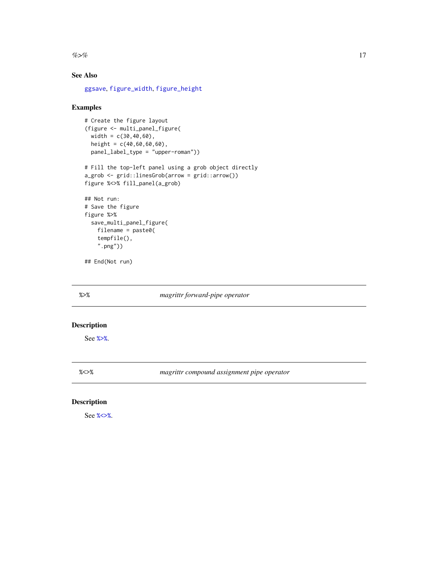<span id="page-16-0"></span> $\%$  >% 17

## See Also

[ggsave](#page-0-0), [figure\\_width](#page-8-1), [figure\\_height](#page-8-1)

## Examples

```
# Create the figure layout
(figure <- multi_panel_figure(
  width = c(30, 40, 60),
 height = c(40, 60, 60, 60),
  panel_label_type = "upper-roman"))
# Fill the top-left panel using a grob object directly
a_grob <- grid::linesGrob(arrow = grid::arrow())
figure %<>% fill_panel(a_grob)
## Not run:
# Save the figure
figure %>%
  save_multi_panel_figure(
    filename = paste0(
    tempfile(),
    ".png"))
```
## End(Not run)

<span id="page-16-1"></span>

%>% *magrittr forward-pipe operator*

## Description

See [%>%](#page-16-1).

<span id="page-16-2"></span>%<>% *magrittr compound assignment pipe operator*

## Description

See [%<>%](#page-16-2).